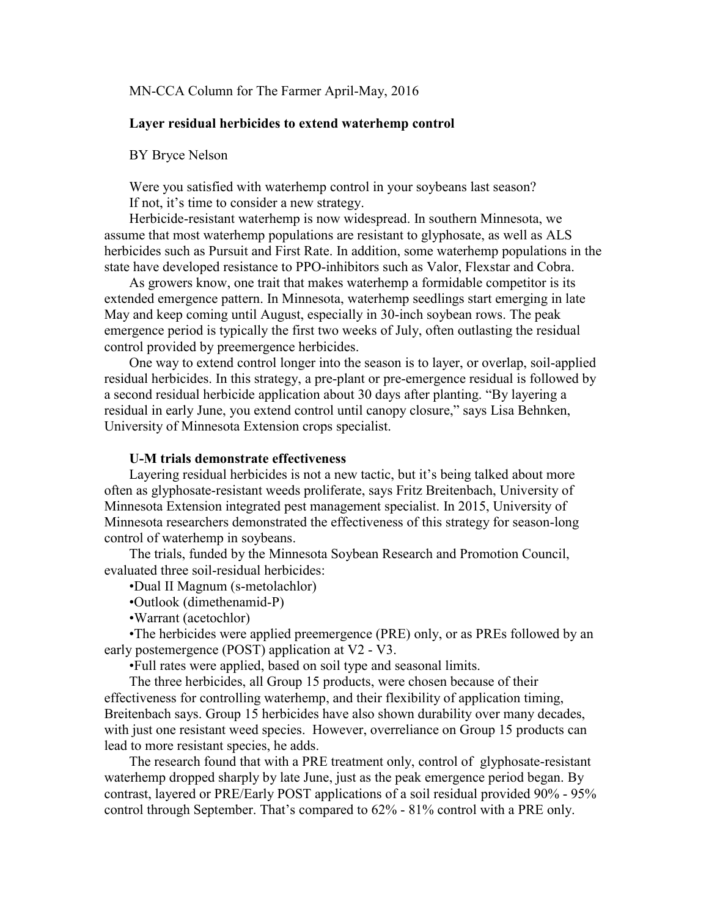### MN-CCA Column for The Farmer April-May, 2016

#### **Layer residual herbicides to extend waterhemp control**

### BY Bryce Nelson

Were you satisfied with waterhemp control in your soybeans last season? If not, it's time to consider a new strategy.

Herbicide-resistant waterhemp is now widespread. In southern Minnesota, we assume that most waterhemp populations are resistant to glyphosate, as well as ALS herbicides such as Pursuit and First Rate. In addition, some waterhemp populations in the state have developed resistance to PPO-inhibitors such as Valor, Flexstar and Cobra.

As growers know, one trait that makes waterhemp a formidable competitor is its extended emergence pattern. In Minnesota, waterhemp seedlings start emerging in late May and keep coming until August, especially in 30-inch soybean rows. The peak emergence period is typically the first two weeks of July, often outlasting the residual control provided by preemergence herbicides.

One way to extend control longer into the season is to layer, or overlap, soil-applied residual herbicides. In this strategy, a pre-plant or pre-emergence residual is followed by a second residual herbicide application about 30 days after planting. "By layering a residual in early June, you extend control until canopy closure," says Lisa Behnken, University of Minnesota Extension crops specialist.

## **U-M trials demonstrate effectiveness**

Layering residual herbicides is not a new tactic, but it's being talked about more often as glyphosate-resistant weeds proliferate, says Fritz Breitenbach, University of Minnesota Extension integrated pest management specialist. In 2015, University of Minnesota researchers demonstrated the effectiveness of this strategy for season-long control of waterhemp in soybeans.

The trials, funded by the Minnesota Soybean Research and Promotion Council, evaluated three soil-residual herbicides:

•Dual II Magnum (s-metolachlor)

•Outlook (dimethenamid-P)

•Warrant (acetochlor)

•The herbicides were applied preemergence (PRE) only, or as PREs followed by an early postemergence (POST) application at V2 - V3.

•Full rates were applied, based on soil type and seasonal limits.

The three herbicides, all Group 15 products, were chosen because of their effectiveness for controlling waterhemp, and their flexibility of application timing, Breitenbach says. Group 15 herbicides have also shown durability over many decades, with just one resistant weed species. However, overreliance on Group 15 products can lead to more resistant species, he adds.

The research found that with a PRE treatment only, control of glyphosate-resistant waterhemp dropped sharply by late June, just as the peak emergence period began. By contrast, layered or PRE/Early POST applications of a soil residual provided 90% - 95% control through September. That's compared to 62% - 81% control with a PRE only.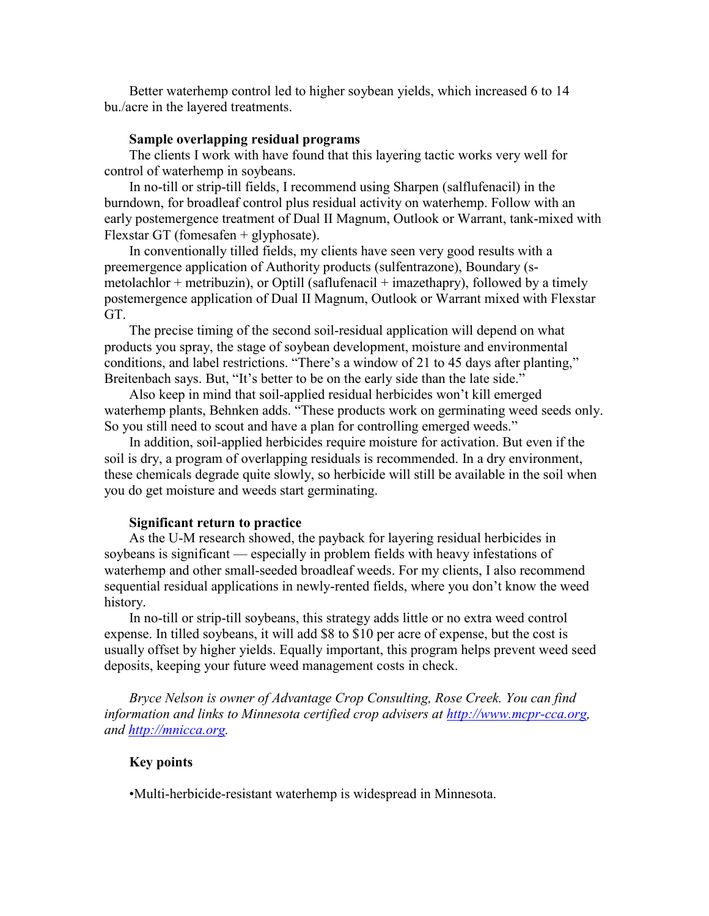Better waterhemp control led to higher soybean yields, which increased 6 to 14 bu./acre in the layered treatments.

#### **Sample overlapping residual programs**

The clients I work with have found that this layering tactic works very well for control of waterhemp in soybeans.

In no-till or strip-till fields, I recommend using Sharpen (salflufenacil) in the burndown, for broadleaf control plus residual activity on waterhemp. Follow with an early postemergence treatment of Dual II Magnum, Outlook or Warrant, tank-mixed with Flexstar GT (fomesafen + glyphosate).

In conventionally tilled fields, my clients have seen very good results with a preemergence application of Authority products (sulfentrazone), Boundary (smetolachlor + metribuzin), or Optill (saflufenacil + imazethapry), followed by a timely postemergence application of Dual II Magnum, Outlook or Warrant mixed with Flexstar GT<sup>.</sup>

The precise timing of the second soil-residual application will depend on what products you spray, the stage of soybean development, moisture and environmental conditions, and label restrictions. "There's a window of 21 to 45 days after planting," Breitenbach says. But, "It's better to be on the early side than the late side."

Also keep in mind that soil-applied residual herbicides won't kill emerged waterhemp plants, Behnken adds. "These products work on germinating weed seeds only. So you still need to scout and have a plan for controlling emerged weeds."

In addition, soil-applied herbicides require moisture for activation. But even if the soil is dry, a program of overlapping residuals is recommended. In a dry environment, these chemicals degrade quite slowly, so herbicide will still be available in the soil when you do get moisture and weeds start germinating.

#### **Significant return to practice**

As the U-M research showed, the payback for layering residual herbicides in soybeans is significant — especially in problem fields with heavy infestations of waterhemp and other small-seeded broadleaf weeds. For my clients, I also recommend sequential residual applications in newly-rented fields, where you don't know the weed history.

In no-till or strip-till soybeans, this strategy adds little or no extra weed control expense. In tilled soybeans, it will add \$8 to \$10 per acre of expense, but the cost is usually offset by higher yields. Equally important, this program helps prevent weed seed deposits, keeping your future weed management costs in check.

*Bryce Nelson is owner of Advantage Crop Consulting, Rose Creek. You can find information and links to Minnesota certified crop advisers at [http://www.mcpr-cca.org,](http://www.mcpr-cca.org/) and [http://mnicca.org.](http://mnicca.org/)*

## **Key points**

•Multi-herbicide-resistant waterhemp is widespread in Minnesota.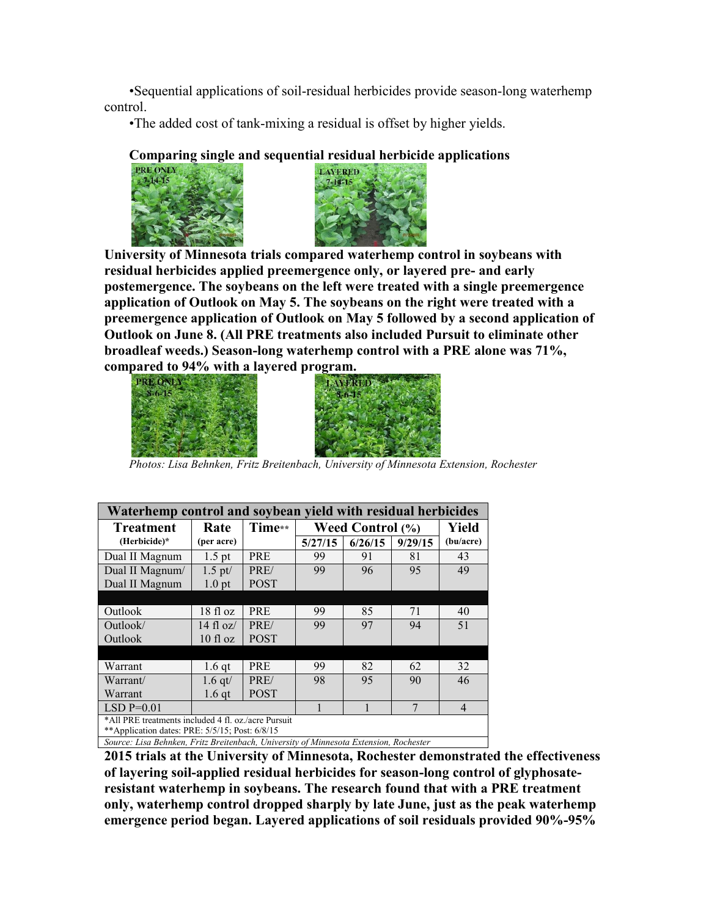•Sequential applications of soil-residual herbicides provide season-long waterhemp control.

•The added cost of tank-mixing a residual is offset by higher yields.

# **Comparing single and sequential residual herbicide applications**





**University of Minnesota trials compared waterhemp control in soybeans with residual herbicides applied preemergence only, or layered pre- and early postemergence. The soybeans on the left were treated with a single preemergence application of Outlook on May 5. The soybeans on the right were treated with a preemergence application of Outlook on May 5 followed by a second application of Outlook on June 8. (All PRE treatments also included Pursuit to eliminate other broadleaf weeds.) Season-long waterhemp control with a PRE alone was 71%, compared to 94% with a layered program.**





*Photos: Lisa Behnken, Fritz Breitenbach, University of Minnesota Extension, Rochester*

| Waterhemp control and soybean yield with residual herbicides                          |                       |             |                         |         |         |                |
|---------------------------------------------------------------------------------------|-----------------------|-------------|-------------------------|---------|---------|----------------|
| <b>Treatment</b>                                                                      | Rate                  | Time**      | <b>Weed Control (%)</b> |         |         | Yield          |
| (Herbicide)*                                                                          | (per acre)            |             | 5/27/15                 | 6/26/15 | 9/29/15 | (bu/acre)      |
| Dual II Magnum                                                                        | $1.5$ pt              | <b>PRE</b>  | 99                      | 91      | 81      | 43             |
| Dual II Magnum/                                                                       | $1.5$ pt/             | PRE/        | 99                      | 96      | 95      | 49             |
| Dual II Magnum                                                                        | $1.0$ pt              | <b>POST</b> |                         |         |         |                |
|                                                                                       |                       |             |                         |         |         |                |
| Outlook                                                                               | 18 fl oz              | <b>PRE</b>  | 99                      | 85      | 71      | 40             |
| Outlook/                                                                              | $14 \text{ fl}$ $oz/$ | PRE/        | 99                      | 97      | 94      | 51             |
| Outlook                                                                               | $10f$ l oz            | <b>POST</b> |                         |         |         |                |
|                                                                                       |                       |             |                         |         |         |                |
| Warrant                                                                               | $1.6$ qt              | <b>PRE</b>  | 99                      | 82      | 62      | 32             |
| Warrant/                                                                              | 1.6 $qt/$             | PRE/        | 98                      | 95      | 90      | 46             |
| Warrant                                                                               | $1.6$ qt              | <b>POST</b> |                         |         |         |                |
| $LSD P=0.01$                                                                          |                       |             | 1                       |         | 7       | $\overline{4}$ |
| *All PRE treatments included 4 fl. oz./acre Pursuit                                   |                       |             |                         |         |         |                |
| **Application dates: PRE: 5/5/15; Post: 6/8/15                                        |                       |             |                         |         |         |                |
| Source: Lisa Behnken, Fritz Breitenbach, University of Minnesota Extension, Rochester |                       |             |                         |         |         |                |

**2015 trials at the University of Minnesota, Rochester demonstrated the effectiveness of layering soil-applied residual herbicides for season-long control of glyphosateresistant waterhemp in soybeans. The research found that with a PRE treatment only, waterhemp control dropped sharply by late June, just as the peak waterhemp emergence period began. Layered applications of soil residuals provided 90%-95%**